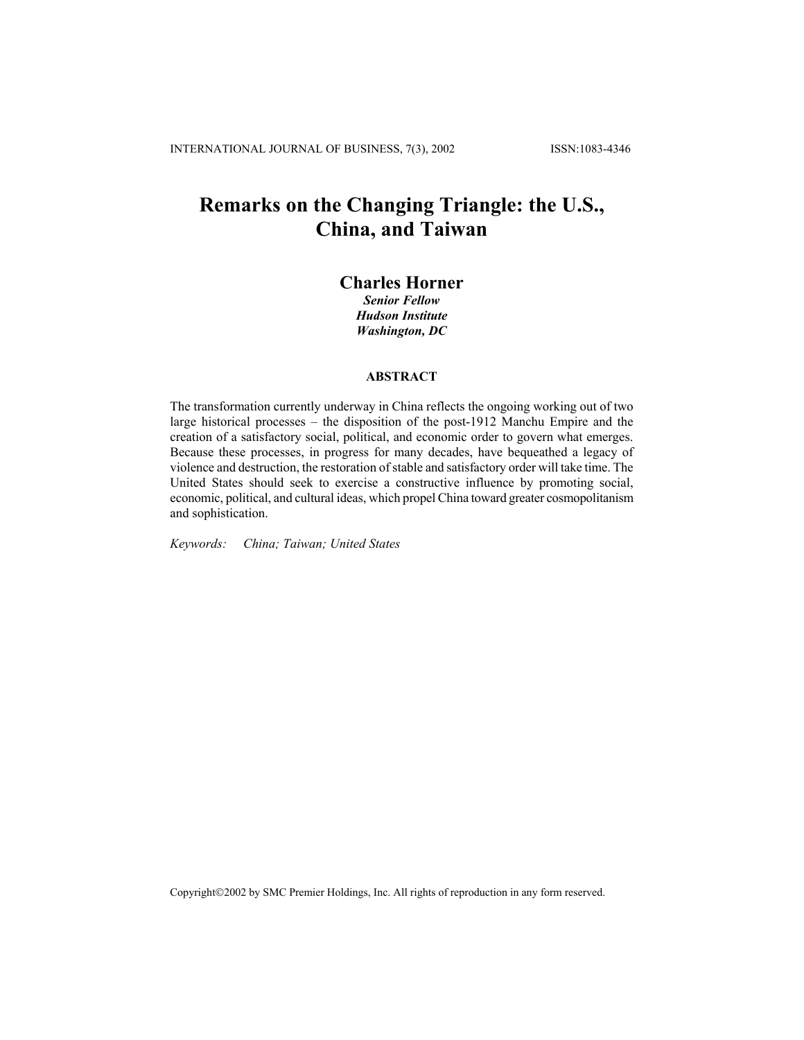## **Remarks on the Changing Triangle: the U.S., China, and Taiwan**

## **Charles Horner**

*Senior Fellow Hudson Institute Washington, DC*

## **ABSTRACT**

The transformation currently underway in China reflects the ongoing working out of two large historical processes – the disposition of the post-1912 Manchu Empire and the creation of a satisfactory social, political, and economic order to govern what emerges. Because these processes, in progress for many decades, have bequeathed a legacy of violence and destruction, the restoration of stable and satisfactory order will take time. The United States should seek to exercise a constructive influence by promoting social, economic, political, and cultural ideas, which propel China toward greater cosmopolitanism and sophistication.

*Keywords: China; Taiwan; United States* 

Copyright©2002 by SMC Premier Holdings, Inc. All rights of reproduction in any form reserved.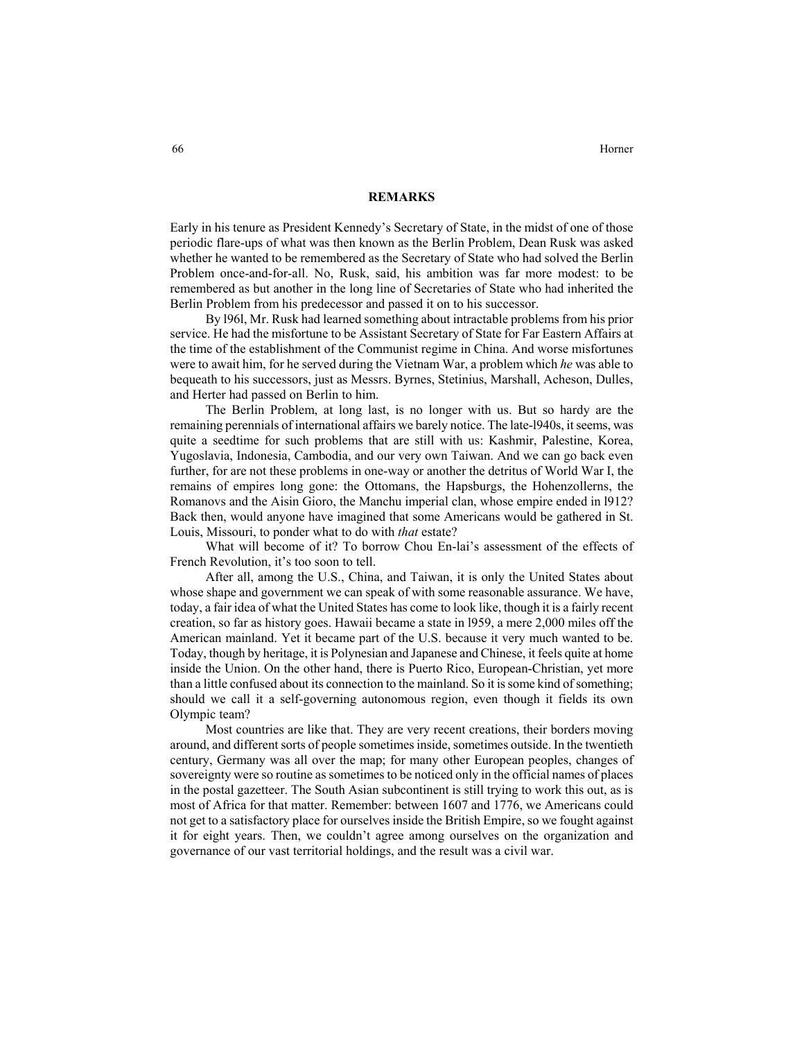## **REMARKS**

Early in his tenure as President Kennedy's Secretary of State, in the midst of one of those periodic flare-ups of what was then known as the Berlin Problem, Dean Rusk was asked whether he wanted to be remembered as the Secretary of State who had solved the Berlin Problem once-and-for-all. No, Rusk, said, his ambition was far more modest: to be remembered as but another in the long line of Secretaries of State who had inherited the Berlin Problem from his predecessor and passed it on to his successor.

By l96l, Mr. Rusk had learned something about intractable problems from his prior service. He had the misfortune to be Assistant Secretary of State for Far Eastern Affairs at the time of the establishment of the Communist regime in China. And worse misfortunes were to await him, for he served during the Vietnam War, a problem which *he* was able to bequeath to his successors, just as Messrs. Byrnes, Stetinius, Marshall, Acheson, Dulles, and Herter had passed on Berlin to him.

The Berlin Problem, at long last, is no longer with us. But so hardy are the remaining perennials of international affairs we barely notice. The late-l940s, it seems, was quite a seedtime for such problems that are still with us: Kashmir, Palestine, Korea, Yugoslavia, Indonesia, Cambodia, and our very own Taiwan. And we can go back even further, for are not these problems in one-way or another the detritus of World War I, the remains of empires long gone: the Ottomans, the Hapsburgs, the Hohenzollerns, the Romanovs and the Aisin Gioro, the Manchu imperial clan, whose empire ended in l912? Back then, would anyone have imagined that some Americans would be gathered in St. Louis, Missouri, to ponder what to do with *that* estate?

What will become of it? To borrow Chou En-lai's assessment of the effects of French Revolution, it's too soon to tell.

After all, among the U.S., China, and Taiwan, it is only the United States about whose shape and government we can speak of with some reasonable assurance. We have, today, a fair idea of what the United States has come to look like, though it is a fairly recent creation, so far as history goes. Hawaii became a state in l959, a mere 2,000 miles off the American mainland. Yet it became part of the U.S. because it very much wanted to be. Today, though by heritage, it is Polynesian and Japanese and Chinese, it feels quite at home inside the Union. On the other hand, there is Puerto Rico, European-Christian, yet more than a little confused about its connection to the mainland. So it is some kind of something; should we call it a self-governing autonomous region, even though it fields its own Olympic team?

Most countries are like that. They are very recent creations, their borders moving around, and different sorts of people sometimes inside, sometimes outside. In the twentieth century, Germany was all over the map; for many other European peoples, changes of sovereignty were so routine as sometimes to be noticed only in the official names of places in the postal gazetteer. The South Asian subcontinent is still trying to work this out, as is most of Africa for that matter. Remember: between 1607 and 1776, we Americans could not get to a satisfactory place for ourselves inside the British Empire, so we fought against it for eight years. Then, we couldn't agree among ourselves on the organization and governance of our vast territorial holdings, and the result was a civil war.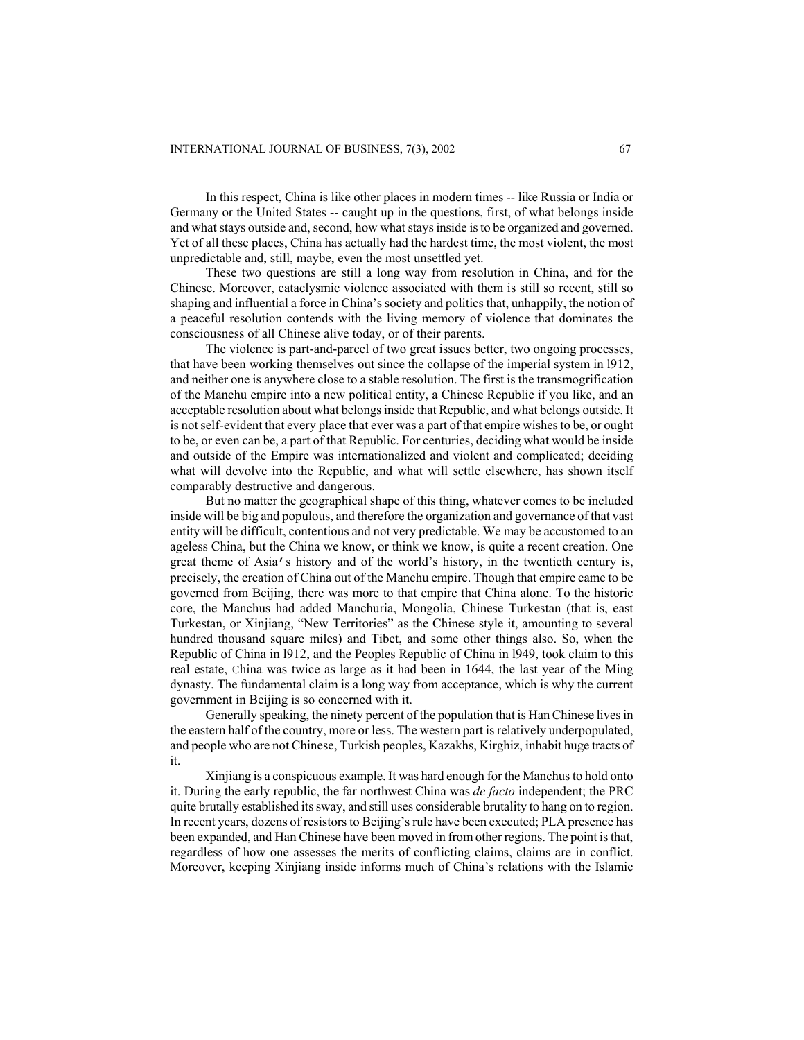In this respect, China is like other places in modern times -- like Russia or India or Germany or the United States -- caught up in the questions, first, of what belongs inside and what stays outside and, second, how what stays inside is to be organized and governed. Yet of all these places, China has actually had the hardest time, the most violent, the most unpredictable and, still, maybe, even the most unsettled yet.

These two questions are still a long way from resolution in China, and for the Chinese. Moreover, cataclysmic violence associated with them is still so recent, still so shaping and influential a force in China's society and politics that, unhappily, the notion of a peaceful resolution contends with the living memory of violence that dominates the consciousness of all Chinese alive today, or of their parents.

The violence is part-and-parcel of two great issues better, two ongoing processes, that have been working themselves out since the collapse of the imperial system in l912, and neither one is anywhere close to a stable resolution. The first is the transmogrification of the Manchu empire into a new political entity, a Chinese Republic if you like, and an acceptable resolution about what belongs inside that Republic, and what belongs outside. It is not self-evident that every place that ever was a part of that empire wishes to be, or ought to be, or even can be, a part of that Republic. For centuries, deciding what would be inside and outside of the Empire was internationalized and violent and complicated; deciding what will devolve into the Republic, and what will settle elsewhere, has shown itself comparably destructive and dangerous.

But no matter the geographical shape of this thing, whatever comes to be included inside will be big and populous, and therefore the organization and governance of that vast entity will be difficult, contentious and not very predictable. We may be accustomed to an ageless China, but the China we know, or think we know, is quite a recent creation. One great theme of Asia's history and of the world's history, in the twentieth century is, precisely, the creation of China out of the Manchu empire. Though that empire came to be governed from Beijing, there was more to that empire that China alone. To the historic core, the Manchus had added Manchuria, Mongolia, Chinese Turkestan (that is, east Turkestan, or Xinjiang, "New Territories" as the Chinese style it, amounting to several hundred thousand square miles) and Tibet, and some other things also. So, when the Republic of China in l912, and the Peoples Republic of China in l949, took claim to this real estate, China was twice as large as it had been in 1644, the last year of the Ming dynasty. The fundamental claim is a long way from acceptance, which is why the current government in Beijing is so concerned with it.

Generally speaking, the ninety percent of the population that is Han Chinese lives in the eastern half of the country, more or less. The western part is relatively underpopulated, and people who are not Chinese, Turkish peoples, Kazakhs, Kirghiz, inhabit huge tracts of it.

Xinjiang is a conspicuous example. It was hard enough for the Manchus to hold onto it. During the early republic, the far northwest China was *de facto* independent; the PRC quite brutally established its sway, and still uses considerable brutality to hang on to region. In recent years, dozens of resistors to Beijing's rule have been executed; PLA presence has been expanded, and Han Chinese have been moved in from other regions. The point is that, regardless of how one assesses the merits of conflicting claims, claims are in conflict. Moreover, keeping Xinjiang inside informs much of China's relations with the Islamic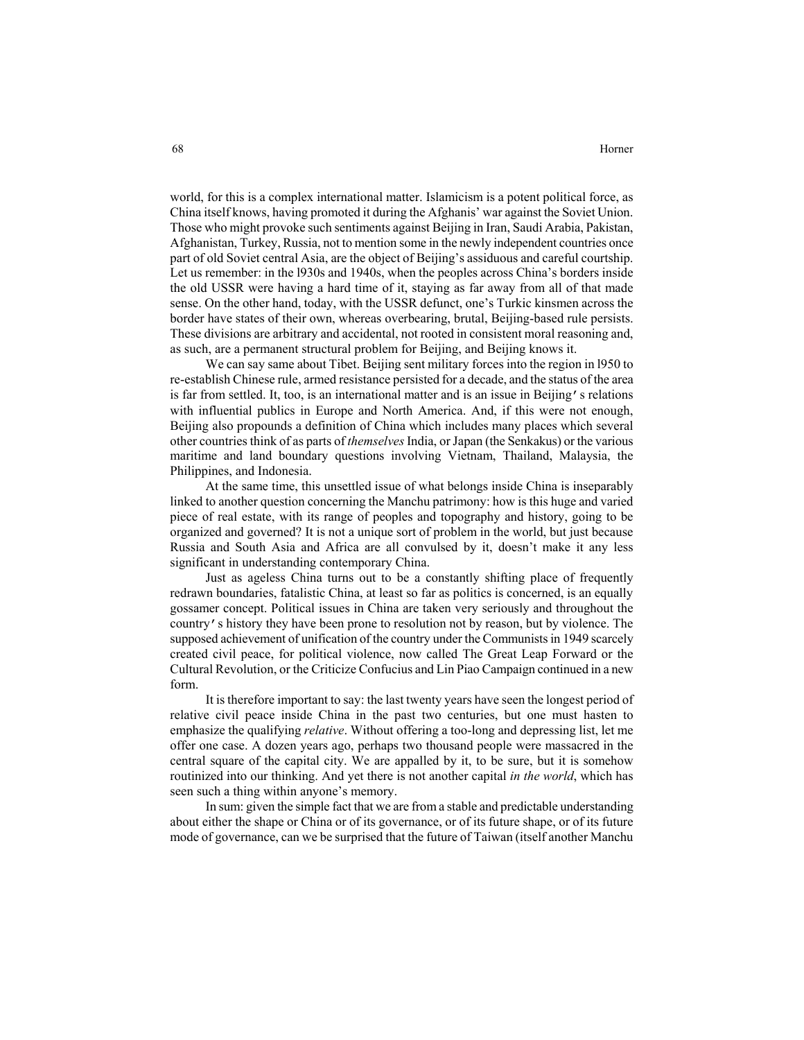world, for this is a complex international matter. Islamicism is a potent political force, as China itself knows, having promoted it during the Afghanis' war against the Soviet Union. Those who might provoke such sentiments against Beijing in Iran, Saudi Arabia, Pakistan, Afghanistan, Turkey, Russia, not to mention some in the newly independent countries once part of old Soviet central Asia, are the object of Beijing's assiduous and careful courtship. Let us remember: in the l930s and 1940s, when the peoples across China's borders inside the old USSR were having a hard time of it, staying as far away from all of that made sense. On the other hand, today, with the USSR defunct, one's Turkic kinsmen across the border have states of their own, whereas overbearing, brutal, Beijing-based rule persists. These divisions are arbitrary and accidental, not rooted in consistent moral reasoning and, as such, are a permanent structural problem for Beijing, and Beijing knows it.

We can say same about Tibet. Beijing sent military forces into the region in l950 to re-establish Chinese rule, armed resistance persisted for a decade, and the status of the area is far from settled. It, too, is an international matter and is an issue in Beijing's relations with influential publics in Europe and North America. And, if this were not enough, Beijing also propounds a definition of China which includes many places which several other countries think of as parts of *themselves* India, or Japan (the Senkakus) or the various maritime and land boundary questions involving Vietnam, Thailand, Malaysia, the Philippines, and Indonesia.

At the same time, this unsettled issue of what belongs inside China is inseparably linked to another question concerning the Manchu patrimony: how is this huge and varied piece of real estate, with its range of peoples and topography and history, going to be organized and governed? It is not a unique sort of problem in the world, but just because Russia and South Asia and Africa are all convulsed by it, doesn't make it any less significant in understanding contemporary China.

Just as ageless China turns out to be a constantly shifting place of frequently redrawn boundaries, fatalistic China, at least so far as politics is concerned, is an equally gossamer concept. Political issues in China are taken very seriously and throughout the country's history they have been prone to resolution not by reason, but by violence. The supposed achievement of unification of the country under the Communists in 1949 scarcely created civil peace, for political violence, now called The Great Leap Forward or the Cultural Revolution, or the Criticize Confucius and Lin Piao Campaign continued in a new form.

It is therefore important to say: the last twenty years have seen the longest period of relative civil peace inside China in the past two centuries, but one must hasten to emphasize the qualifying *relative*. Without offering a too-long and depressing list, let me offer one case. A dozen years ago, perhaps two thousand people were massacred in the central square of the capital city. We are appalled by it, to be sure, but it is somehow routinized into our thinking. And yet there is not another capital *in the world*, which has seen such a thing within anyone's memory.

In sum: given the simple fact that we are from a stable and predictable understanding about either the shape or China or of its governance, or of its future shape, or of its future mode of governance, can we be surprised that the future of Taiwan (itself another Manchu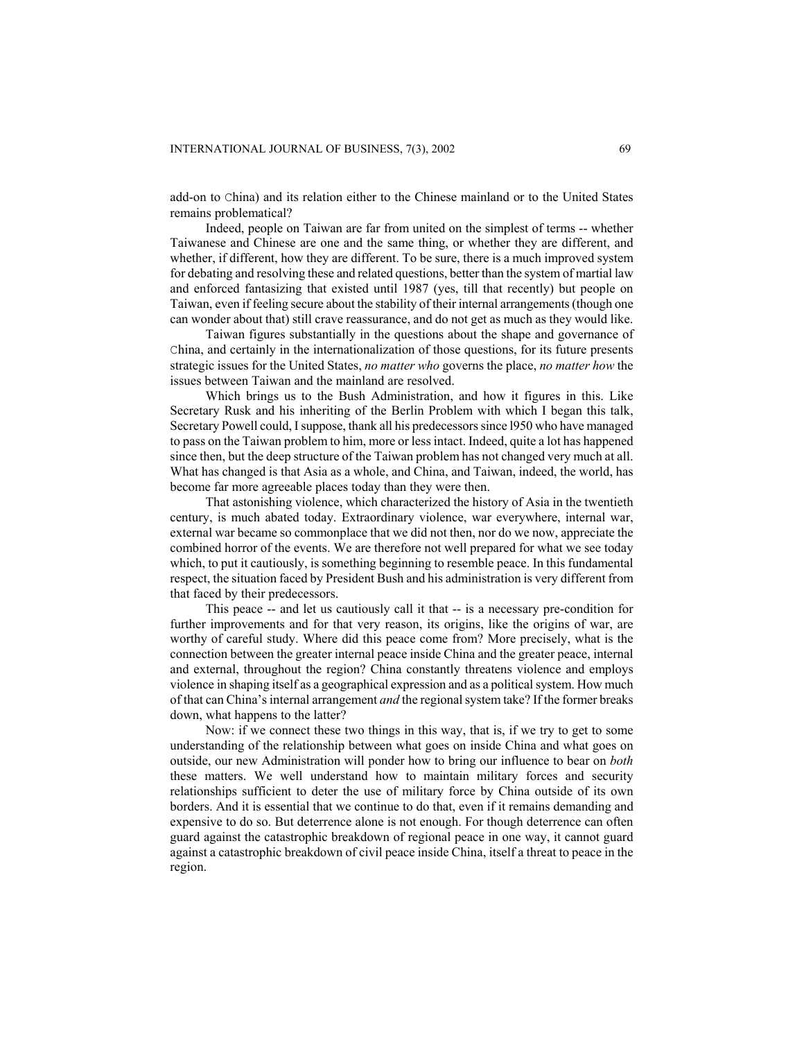add-on to China) and its relation either to the Chinese mainland or to the United States remains problematical?

Indeed, people on Taiwan are far from united on the simplest of terms -- whether Taiwanese and Chinese are one and the same thing, or whether they are different, and whether, if different, how they are different. To be sure, there is a much improved system for debating and resolving these and related questions, better than the system of martial law and enforced fantasizing that existed until 1987 (yes, till that recently) but people on Taiwan, even if feeling secure about the stability of their internal arrangements (though one can wonder about that) still crave reassurance, and do not get as much as they would like.

Taiwan figures substantially in the questions about the shape and governance of China, and certainly in the internationalization of those questions, for its future presents strategic issues for the United States, *no matter who* governs the place, *no matter how* the issues between Taiwan and the mainland are resolved.

Which brings us to the Bush Administration, and how it figures in this. Like Secretary Rusk and his inheriting of the Berlin Problem with which I began this talk, Secretary Powell could, I suppose, thank all his predecessors since l950 who have managed to pass on the Taiwan problem to him, more or less intact. Indeed, quite a lot has happened since then, but the deep structure of the Taiwan problem has not changed very much at all. What has changed is that Asia as a whole, and China, and Taiwan, indeed, the world, has become far more agreeable places today than they were then.

That astonishing violence, which characterized the history of Asia in the twentieth century, is much abated today. Extraordinary violence, war everywhere, internal war, external war became so commonplace that we did not then, nor do we now, appreciate the combined horror of the events. We are therefore not well prepared for what we see today which, to put it cautiously, is something beginning to resemble peace. In this fundamental respect, the situation faced by President Bush and his administration is very different from that faced by their predecessors.

This peace -- and let us cautiously call it that -- is a necessary pre-condition for further improvements and for that very reason, its origins, like the origins of war, are worthy of careful study. Where did this peace come from? More precisely, what is the connection between the greater internal peace inside China and the greater peace, internal and external, throughout the region? China constantly threatens violence and employs violence in shaping itself as a geographical expression and as a political system. How much of that can China's internal arrangement *and* the regional system take? If the former breaks down, what happens to the latter?

Now: if we connect these two things in this way, that is, if we try to get to some understanding of the relationship between what goes on inside China and what goes on outside, our new Administration will ponder how to bring our influence to bear on *both* these matters. We well understand how to maintain military forces and security relationships sufficient to deter the use of military force by China outside of its own borders. And it is essential that we continue to do that, even if it remains demanding and expensive to do so. But deterrence alone is not enough. For though deterrence can often guard against the catastrophic breakdown of regional peace in one way, it cannot guard against a catastrophic breakdown of civil peace inside China, itself a threat to peace in the region.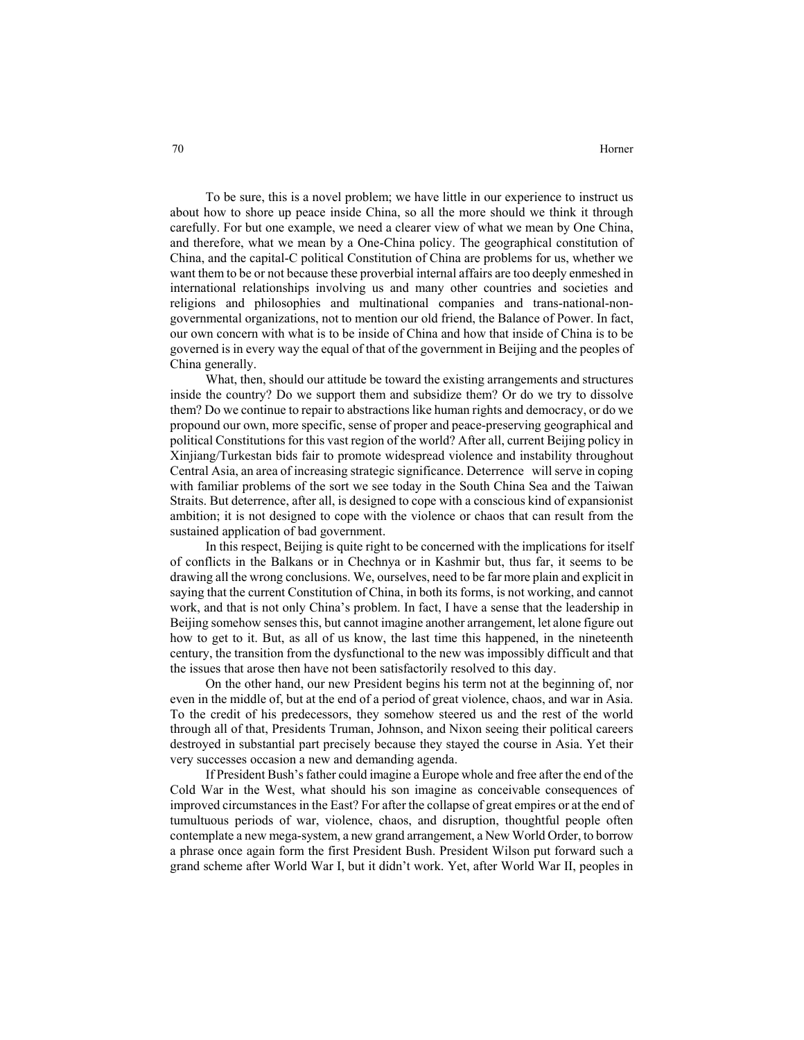To be sure, this is a novel problem; we have little in our experience to instruct us about how to shore up peace inside China, so all the more should we think it through carefully. For but one example, we need a clearer view of what we mean by One China, and therefore, what we mean by a One-China policy. The geographical constitution of China, and the capital-C political Constitution of China are problems for us, whether we want them to be or not because these proverbial internal affairs are too deeply enmeshed in international relationships involving us and many other countries and societies and religions and philosophies and multinational companies and trans-national-nongovernmental organizations, not to mention our old friend, the Balance of Power. In fact, our own concern with what is to be inside of China and how that inside of China is to be governed is in every way the equal of that of the government in Beijing and the peoples of China generally.

What, then, should our attitude be toward the existing arrangements and structures inside the country? Do we support them and subsidize them? Or do we try to dissolve them? Do we continue to repair to abstractions like human rights and democracy, or do we propound our own, more specific, sense of proper and peace-preserving geographical and political Constitutions for this vast region of the world? After all, current Beijing policy in Xinjiang/Turkestan bids fair to promote widespread violence and instability throughout Central Asia, an area of increasing strategic significance. Deterrence will serve in coping with familiar problems of the sort we see today in the South China Sea and the Taiwan Straits. But deterrence, after all, is designed to cope with a conscious kind of expansionist ambition; it is not designed to cope with the violence or chaos that can result from the sustained application of bad government.

In this respect, Beijing is quite right to be concerned with the implications for itself of conflicts in the Balkans or in Chechnya or in Kashmir but, thus far, it seems to be drawing all the wrong conclusions. We, ourselves, need to be far more plain and explicit in saying that the current Constitution of China, in both its forms, is not working, and cannot work, and that is not only China's problem. In fact, I have a sense that the leadership in Beijing somehow senses this, but cannot imagine another arrangement, let alone figure out how to get to it. But, as all of us know, the last time this happened, in the nineteenth century, the transition from the dysfunctional to the new was impossibly difficult and that the issues that arose then have not been satisfactorily resolved to this day.

On the other hand, our new President begins his term not at the beginning of, nor even in the middle of, but at the end of a period of great violence, chaos, and war in Asia. To the credit of his predecessors, they somehow steered us and the rest of the world through all of that, Presidents Truman, Johnson, and Nixon seeing their political careers destroyed in substantial part precisely because they stayed the course in Asia. Yet their very successes occasion a new and demanding agenda.

If President Bush's father could imagine a Europe whole and free after the end of the Cold War in the West, what should his son imagine as conceivable consequences of improved circumstances in the East? For after the collapse of great empires or at the end of tumultuous periods of war, violence, chaos, and disruption, thoughtful people often contemplate a new mega-system, a new grand arrangement, a New World Order, to borrow a phrase once again form the first President Bush. President Wilson put forward such a grand scheme after World War I, but it didn't work. Yet, after World War II, peoples in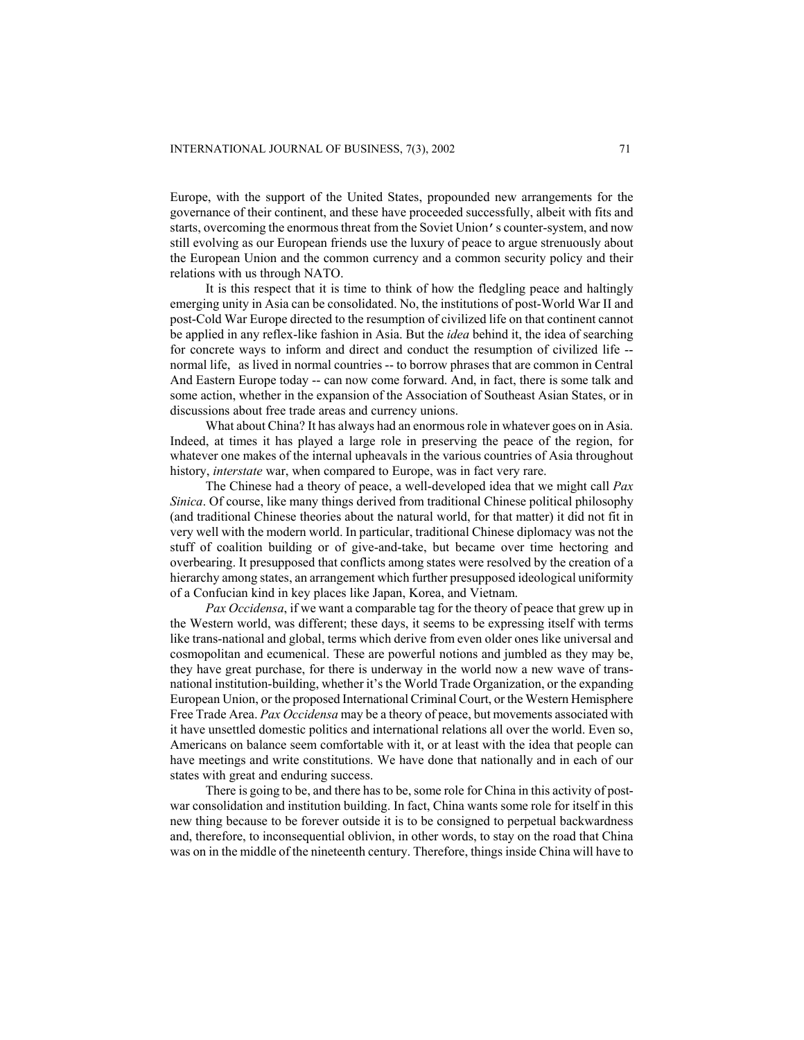Europe, with the support of the United States, propounded new arrangements for the governance of their continent, and these have proceeded successfully, albeit with fits and starts, overcoming the enormous threat from the Soviet Union's counter-system, and now still evolving as our European friends use the luxury of peace to argue strenuously about the European Union and the common currency and a common security policy and their relations with us through NATO.

It is this respect that it is time to think of how the fledgling peace and haltingly emerging unity in Asia can be consolidated. No, the institutions of post-World War II and post-Cold War Europe directed to the resumption of civilized life on that continent cannot be applied in any reflex-like fashion in Asia. But the *idea* behind it, the idea of searching for concrete ways to inform and direct and conduct the resumption of civilized life - normal life, as lived in normal countries -- to borrow phrases that are common in Central And Eastern Europe today -- can now come forward. And, in fact, there is some talk and some action, whether in the expansion of the Association of Southeast Asian States, or in discussions about free trade areas and currency unions.

What about China? It has always had an enormous role in whatever goes on in Asia. Indeed, at times it has played a large role in preserving the peace of the region, for whatever one makes of the internal upheavals in the various countries of Asia throughout history, *interstate* war, when compared to Europe, was in fact very rare.

The Chinese had a theory of peace, a well-developed idea that we might call *Pax Sinica*. Of course, like many things derived from traditional Chinese political philosophy (and traditional Chinese theories about the natural world, for that matter) it did not fit in very well with the modern world. In particular, traditional Chinese diplomacy was not the stuff of coalition building or of give-and-take, but became over time hectoring and overbearing. It presupposed that conflicts among states were resolved by the creation of a hierarchy among states, an arrangement which further presupposed ideological uniformity of a Confucian kind in key places like Japan, Korea, and Vietnam.

*Pax Occidensa*, if we want a comparable tag for the theory of peace that grew up in the Western world, was different; these days, it seems to be expressing itself with terms like trans-national and global, terms which derive from even older ones like universal and cosmopolitan and ecumenical. These are powerful notions and jumbled as they may be, they have great purchase, for there is underway in the world now a new wave of transnational institution-building, whether it's the World Trade Organization, or the expanding European Union, or the proposed International Criminal Court, or the Western Hemisphere Free Trade Area. *Pax Occidensa* may be a theory of peace, but movements associated with it have unsettled domestic politics and international relations all over the world. Even so, Americans on balance seem comfortable with it, or at least with the idea that people can have meetings and write constitutions. We have done that nationally and in each of our states with great and enduring success.

There is going to be, and there has to be, some role for China in this activity of postwar consolidation and institution building. In fact, China wants some role for itself in this new thing because to be forever outside it is to be consigned to perpetual backwardness and, therefore, to inconsequential oblivion, in other words, to stay on the road that China was on in the middle of the nineteenth century. Therefore, things inside China will have to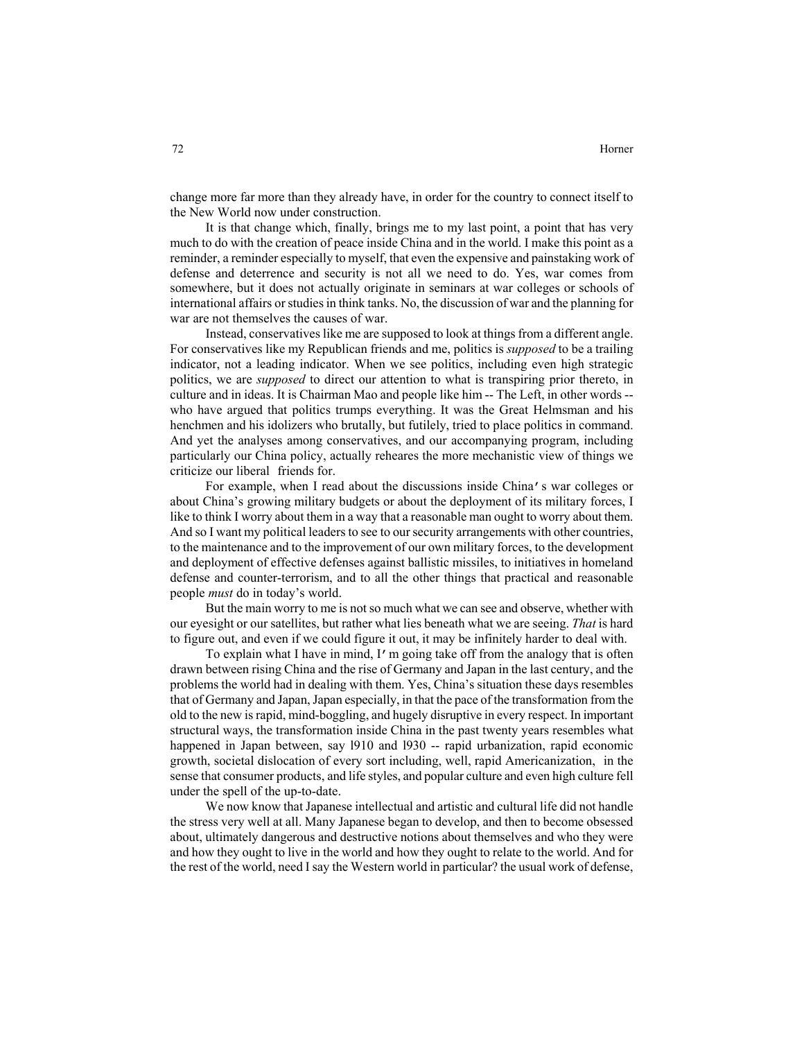change more far more than they already have, in order for the country to connect itself to the New World now under construction.

It is that change which, finally, brings me to my last point, a point that has very much to do with the creation of peace inside China and in the world. I make this point as a reminder, a reminder especially to myself, that even the expensive and painstaking work of defense and deterrence and security is not all we need to do. Yes, war comes from somewhere, but it does not actually originate in seminars at war colleges or schools of international affairs or studies in think tanks. No, the discussion of war and the planning for war are not themselves the causes of war.

Instead, conservatives like me are supposed to look at things from a different angle. For conservatives like my Republican friends and me, politics is *supposed* to be a trailing indicator, not a leading indicator. When we see politics, including even high strategic politics, we are *supposed* to direct our attention to what is transpiring prior thereto, in culture and in ideas. It is Chairman Mao and people like him -- The Left, in other words - who have argued that politics trumps everything. It was the Great Helmsman and his henchmen and his idolizers who brutally, but futilely, tried to place politics in command. And yet the analyses among conservatives, and our accompanying program, including particularly our China policy, actually reheares the more mechanistic view of things we criticize our liberal friends for.

For example, when I read about the discussions inside China's war colleges or about China's growing military budgets or about the deployment of its military forces, I like to think I worry about them in a way that a reasonable man ought to worry about them. And so I want my political leaders to see to our security arrangements with other countries, to the maintenance and to the improvement of our own military forces, to the development and deployment of effective defenses against ballistic missiles, to initiatives in homeland defense and counter-terrorism, and to all the other things that practical and reasonable people *must* do in today's world.

But the main worry to me is not so much what we can see and observe, whether with our eyesight or our satellites, but rather what lies beneath what we are seeing. *That* is hard to figure out, and even if we could figure it out, it may be infinitely harder to deal with.

To explain what I have in mind, I'm going take off from the analogy that is often drawn between rising China and the rise of Germany and Japan in the last century, and the problems the world had in dealing with them. Yes, China's situation these days resembles that of Germany and Japan, Japan especially, in that the pace of the transformation from the old to the new is rapid, mind-boggling, and hugely disruptive in every respect. In important structural ways, the transformation inside China in the past twenty years resembles what happened in Japan between, say l910 and l930 -- rapid urbanization, rapid economic growth, societal dislocation of every sort including, well, rapid Americanization, in the sense that consumer products, and life styles, and popular culture and even high culture fell under the spell of the up-to-date.

We now know that Japanese intellectual and artistic and cultural life did not handle the stress very well at all. Many Japanese began to develop, and then to become obsessed about, ultimately dangerous and destructive notions about themselves and who they were and how they ought to live in the world and how they ought to relate to the world. And for the rest of the world, need I say the Western world in particular? the usual work of defense,